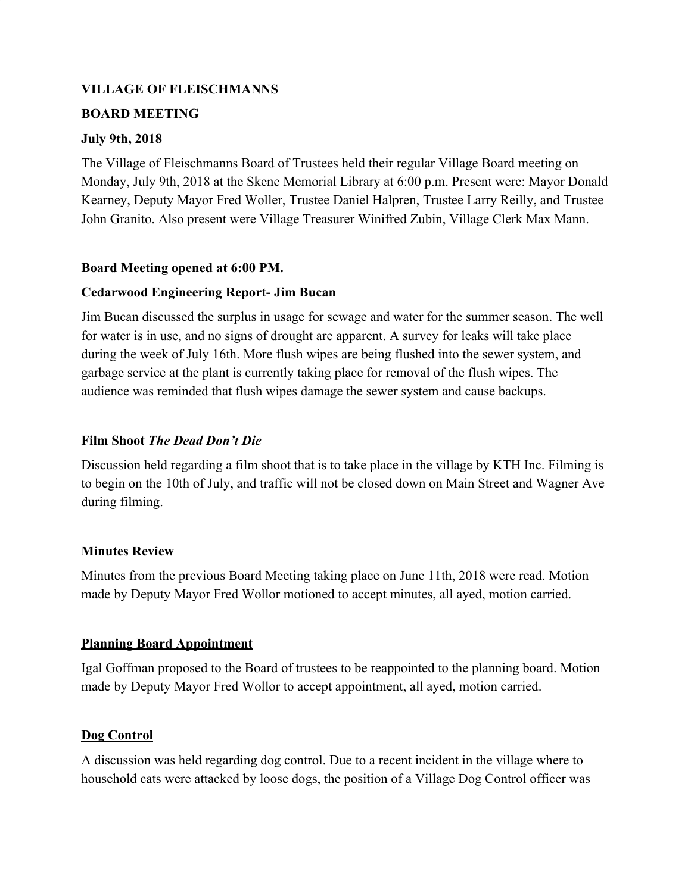## **VILLAGE OF FLEISCHMANNS**

## **BOARD MEETING**

## **July 9th, 2018**

The Village of Fleischmanns Board of Trustees held their regular Village Board meeting on Monday, July 9th, 2018 at the Skene Memorial Library at 6:00 p.m. Present were: Mayor Donald Kearney, Deputy Mayor Fred Woller, Trustee Daniel Halpren, Trustee Larry Reilly, and Trustee John Granito. Also present were Village Treasurer Winifred Zubin, Village Clerk Max Mann.

## **Board Meeting opened at 6:00 PM.**

## **Cedarwood Engineering Report- Jim Bucan**

Jim Bucan discussed the surplus in usage for sewage and water for the summer season. The well for water is in use, and no signs of drought are apparent. A survey for leaks will take place during the week of July 16th. More flush wipes are being flushed into the sewer system, and garbage service at the plant is currently taking place for removal of the flush wipes. The audience was reminded that flush wipes damage the sewer system and cause backups.

## **Film Shoot** *The Dead Don't Die*

Discussion held regarding a film shoot that is to take place in the village by KTH Inc. Filming is to begin on the 10th of July, and traffic will not be closed down on Main Street and Wagner Ave during filming.

## **Minutes Review**

Minutes from the previous Board Meeting taking place on June 11th, 2018 were read. Motion made by Deputy Mayor Fred Wollor motioned to accept minutes, all ayed, motion carried.

## **Planning Board Appointment**

Igal Goffman proposed to the Board of trustees to be reappointed to the planning board. Motion made by Deputy Mayor Fred Wollor to accept appointment, all ayed, motion carried.

## **Dog Control**

A discussion was held regarding dog control. Due to a recent incident in the village where to household cats were attacked by loose dogs, the position of a Village Dog Control officer was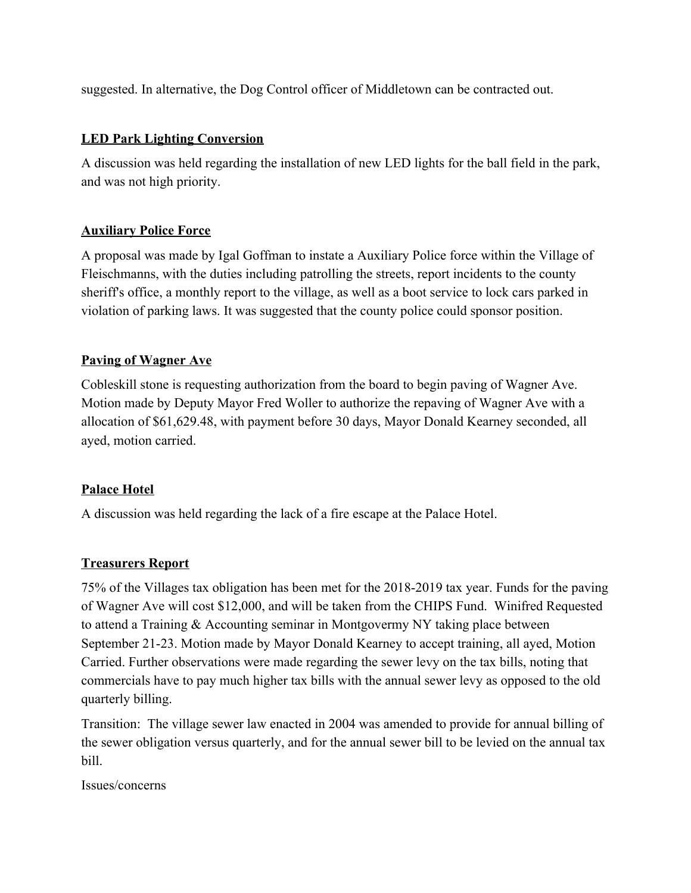suggested. In alternative, the Dog Control officer of Middletown can be contracted out.

## **LED Park Lighting Conversion**

A discussion was held regarding the installation of new LED lights for the ball field in the park, and was not high priority.

## **Auxiliary Police Force**

A proposal was made by Igal Goffman to instate a Auxiliary Police force within the Village of Fleischmanns, with the duties including patrolling the streets, report incidents to the county sheriff's office, a monthly report to the village, as well as a boot service to lock cars parked in violation of parking laws. It was suggested that the county police could sponsor position.

## **Paving of Wagner Ave**

Cobleskill stone is requesting authorization from the board to begin paving of Wagner Ave. Motion made by Deputy Mayor Fred Woller to authorize the repaving of Wagner Ave with a allocation of \$61,629.48, with payment before 30 days, Mayor Donald Kearney seconded, all ayed, motion carried.

# **Palace Hotel**

A discussion was held regarding the lack of a fire escape at the Palace Hotel.

# **Treasurers Report**

75% of the Villages tax obligation has been met for the 2018-2019 tax year. Funds for the paving of Wagner Ave will cost \$12,000, and will be taken from the CHIPS Fund. Winifred Requested to attend a Training & Accounting seminar in Montgovermy NY taking place between September 21-23. Motion made by Mayor Donald Kearney to accept training, all ayed, Motion Carried. Further observations were made regarding the sewer levy on the tax bills, noting that commercials have to pay much higher tax bills with the annual sewer levy as opposed to the old quarterly billing.

Transition: The village sewer law enacted in 2004 was amended to provide for annual billing of the sewer obligation versus quarterly, and for the annual sewer bill to be levied on the annual tax bill.

Issues/concerns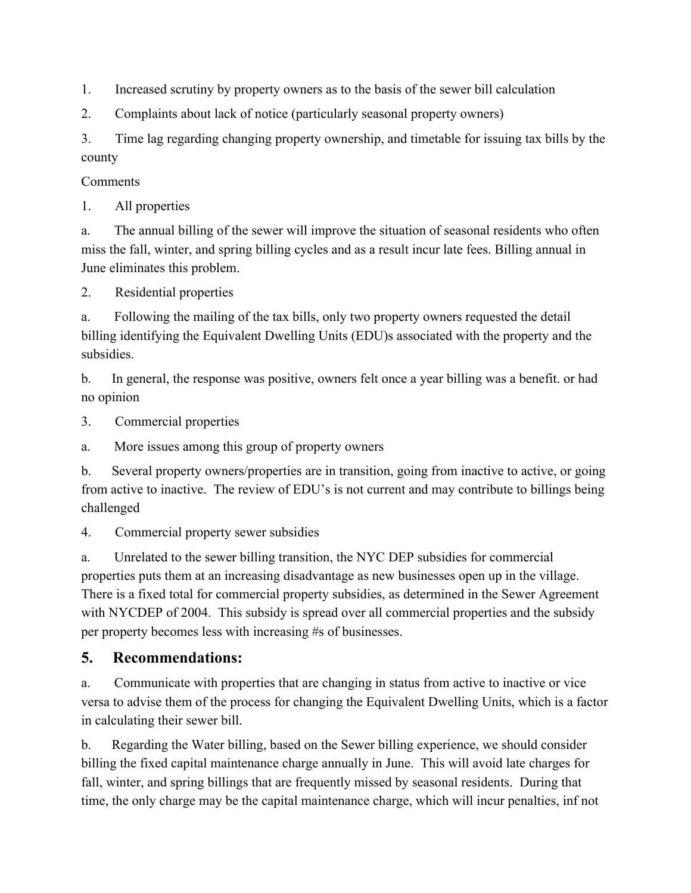1. Increased scrutiny by property owners as to the basis of the sewer bill calculation

2. Complaints about lack of notice (particularly seasonal property owners)

3. Time lag regarding changing property ownership, and timetable for issuing tax bills by the county

Comments

1. All properties

a. The annual billing of the sewer will improve the situation of seasonal residents who often miss the fall, winter, and spring billing cycles and as a result incur late fees. Billing annual in June eliminates this problem.

2. Residential properties

a. Following the mailing of the tax bills, only two property owners requested the detail billing identifying the Equivalent Dwelling Units (EDU)s associated with the property and the subsidies.

b. In general, the response was positive, owners felt once a year billing was a benefit. or had no opinion

3. Commercial properties

a. More issues among this group of property owners

b. Several property owners/properties are in transition, going from inactive to active, or going from active to inactive. The review of EDU's is not current and may contribute to billings being challenged

4. Commercial property sewer subsidies

a. Unrelated to the sewer billing transition, the NYC DEP subsidies for commercial properties puts them at an increasing disadvantage as new businesses open up in the village. There is a fixed total for commercial property subsidies, as determined in the Sewer Agreement with NYCDEP of 2004. This subsidy is spread over all commercial properties and the subsidy per property becomes less with increasing #s of businesses.

# **5. Recommendations:**

a. Communicate with properties that are changing in status from active to inactive or vice versa to advise them of the process for changing the Equivalent Dwelling Units, which is a factor in calculating their sewer bill.

b. Regarding the Water billing, based on the Sewer billing experience, we should consider billing the fixed capital maintenance charge annually in June. This will avoid late charges for fall, winter, and spring billings that are frequently missed by seasonal residents. During that time, the only charge may be the capital maintenance charge, which will incur penalties, inf not